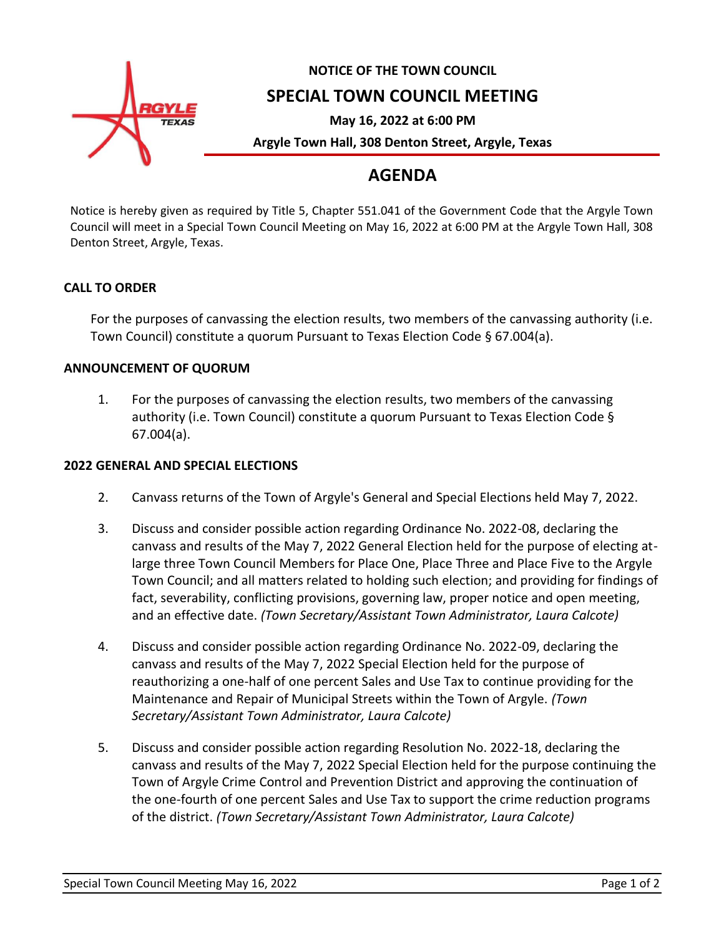

# **NOTICE OF THE TOWN COUNCIL**

## **SPECIAL TOWN COUNCIL MEETING**

**May 16, 2022 at 6:00 PM**

**Argyle Town Hall, 308 Denton Street, Argyle, Texas**

# **AGENDA**

Notice is hereby given as required by Title 5, Chapter 551.041 of the Government Code that the Argyle Town Council will meet in a Special Town Council Meeting on May 16, 2022 at 6:00 PM at the Argyle Town Hall, 308 Denton Street, Argyle, Texas.

#### **CALL TO ORDER**

For the purposes of canvassing the election results, two members of the canvassing authority (i.e. Town Council) constitute a quorum Pursuant to Texas Election Code § 67.004(a).

#### **ANNOUNCEMENT OF QUORUM**

1. For the purposes of canvassing the election results, two members of the canvassing authority (i.e. Town Council) constitute a quorum Pursuant to Texas Election Code § 67.004(a).

#### **2022 GENERAL AND SPECIAL ELECTIONS**

- 2. Canvass returns of the Town of Argyle's General and Special Elections held May 7, 2022.
- 3. Discuss and consider possible action regarding Ordinance No. 2022-08, declaring the canvass and results of the May 7, 2022 General Election held for the purpose of electing atlarge three Town Council Members for Place One, Place Three and Place Five to the Argyle Town Council; and all matters related to holding such election; and providing for findings of fact, severability, conflicting provisions, governing law, proper notice and open meeting, and an effective date. *(Town Secretary/Assistant Town Administrator, Laura Calcote)*
- 4. Discuss and consider possible action regarding Ordinance No. 2022-09, declaring the canvass and results of the May 7, 2022 Special Election held for the purpose of reauthorizing a one-half of one percent Sales and Use Tax to continue providing for the Maintenance and Repair of Municipal Streets within the Town of Argyle. *(Town Secretary/Assistant Town Administrator, Laura Calcote)*
- 5. Discuss and consider possible action regarding Resolution No. 2022-18, declaring the canvass and results of the May 7, 2022 Special Election held for the purpose continuing the Town of Argyle Crime Control and Prevention District and approving the continuation of the one-fourth of one percent Sales and Use Tax to support the crime reduction programs of the district. *(Town Secretary/Assistant Town Administrator, Laura Calcote)*